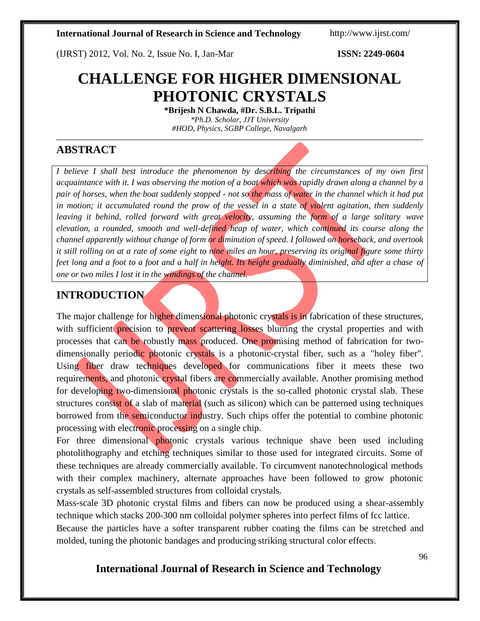(IJRST) 2012, Vol. No. 2, Issue No. I, Jan-Mar **ISSN: 2249-0604**

# **CHALLENGE FOR HIGHER DIMENSIONAL PHOTONIC CRYSTALS**

**\*Brijesh N Chawda, #Dr. S.B.L. Tripathi** *\*Ph.D. Scholar, JJT University #HOD, Physics, SGBP College, Navalgarh*

## **ABSTRACT**

*I believe I shall best introduce the phenomenon by describing the circumstances of my own first acquaintance with it. I was observing the motion of a boat which was rapidly drawn along a channel by a pair of horses, when the boat suddenly stopped - not so the mass of water in the channel which it had put in motion; it accumulated round the prow of the vessel in a state of violent agitation, then suddenly leaving it behind, rolled forward with great velocity, assuming the form of a large solitary wave elevation, a rounded, smooth and well-defined heap of water, which continued its course along the channel apparently without change of form or diminution of speed. I followed on horseback, and overtook it still rolling on at a rate of some eight to nine miles an hour, preserving its original figure some thirty feet long and a foot to a foot and a half in height. Its height gradually diminished, and after a chase of one or two miles I lost it in the windings of the channel.*

## **INTRODUCTION**

The major challenge for higher dimensional photonic crystals is in fabrication of these structures, with sufficient precision to prevent scattering losses blurring the crystal properties and with processes that can be robustly mass produced. One promising method of fabrication for twodimensionally periodic photonic crystals is a photonic-crystal fiber, such as a "holey fiber". Using fiber draw techniques developed for communications fiber it meets these two requirements, and photonic crystal fibers are commercially available. Another promising method for developing two-dimensional photonic crystals is the so-called photonic crystal slab. These structures consist of a slab of material (such as silicon) which can be patterned using techniques borrowed from the semiconductor industry. Such chips offer the potential to combine photonic processing with electronic processing on a single chip.

For three dimensional photonic crystals various technique shave been used including photolithography and etching techniques similar to those used for integrated circuits. Some of these techniques are already commercially available. To circumvent nanotechnological methods with their complex machinery, alternate approaches have been followed to grow photonic crystals as self-assembled structures from colloidal crystals.

Mass-scale 3D photonic crystal films and fibers can now be produced using a shear-assembly technique which stacks 200-300 nm colloidal polymer spheres into perfect films of fcc lattice.

Because the particles have a softer transparent rubber coating the films can be stretched and molded, tuning the photonic bandages and producing striking structural color effects.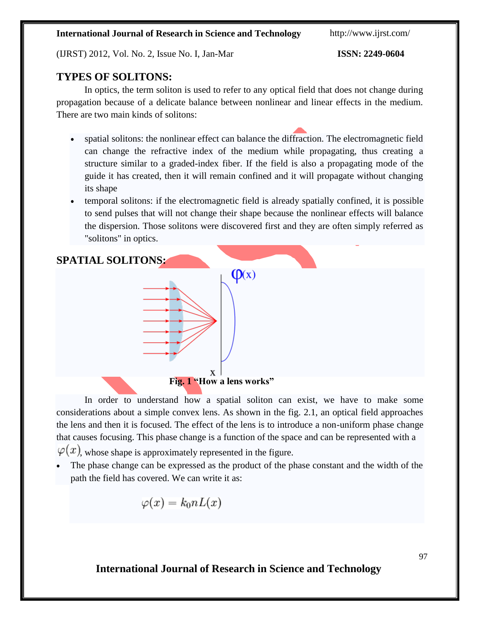(IJRST) 2012, Vol. No. 2, Issue No. I, Jan-Mar **ISSN: 2249-0604**

## **TYPES OF SOLITONS:**

In optics, the term soliton is used to refer to any optical field that does not change during propagation because of a delicate balance between nonlinear and linear effects in the medium. There are two main kinds of solitons:

- spatial solitons: the nonlinear effect can balance the diffraction. The electromagnetic field can change the refractive index of the medium while propagating, thus creating a structure similar to a graded-index fiber. If the field is also a propagating mode of the guide it has created, then it will remain confined and it will propagate without changing its shape
- temporal solitons: if the electromagnetic field is already spatially confined, it is possible to send pulses that will not change their shape because the nonlinear effects will balance the dispersion. Those solitons were discovered first and they are often simply referred as "solitons" in optics.



In order to understand how a spatial soliton can exist, we have to make some considerations about a simple convex lens. As shown in the fig. 2.1, an optical field approaches the lens and then it is focused. The effect of the lens is to introduce a non-uniform phase change that causes focusing. This phase change is a function of the space and can be represented with a  $\varphi(x)$ , whose shape is approximately represented in the figure.

 The phase change can be expressed as the product of the phase constant and the width of the path the field has covered. We can write it as:

$$
\varphi(x)=k_0nL(x)
$$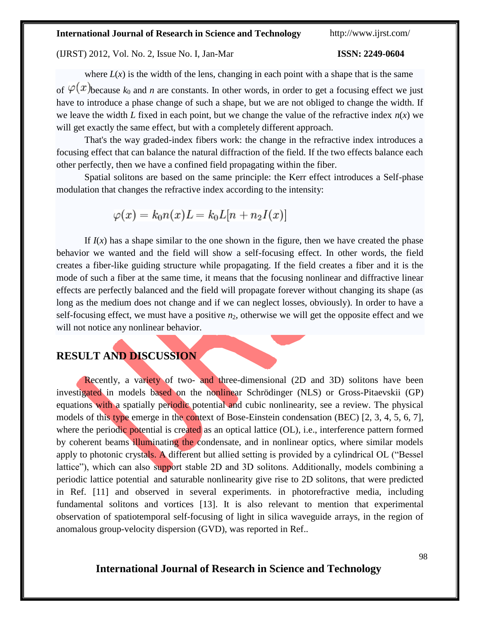(IJRST) 2012, Vol. No. 2, Issue No. I, Jan-Mar **ISSN: 2249-0604**

where  $L(x)$  is the width of the lens, changing in each point with a shape that is the same of  $\varphi(x)$ because  $k_0$  and *n* are constants. In other words, in order to get a focusing effect we just have to introduce a phase change of such a shape, but we are not obliged to change the width. If we leave the width *L* fixed in each point, but we change the value of the refractive index  $n(x)$  we will get exactly the same effect, but with a completely different approach.

That's the way graded-index fibers work: the change in the refractive index introduces a focusing effect that can balance the natural diffraction of the field. If the two effects balance each other perfectly, then we have a confined field propagating within the fiber.

Spatial solitons are based on the same principle: the Kerr effect introduces a Self-phase modulation that changes the refractive index according to the intensity:

$$
\varphi(x)=k_0n(x)L=k_0L[n+n_2I(x)]
$$

If  $I(x)$  has a shape similar to the one shown in the figure, then we have created the phase behavior we wanted and the field will show a self-focusing effect. In other words, the field creates a fiber-like guiding structure while propagating. If the field creates a fiber and it is the mode of such a fiber at the same time, it means that the focusing nonlinear and diffractive linear effects are perfectly balanced and the field will propagate forever without changing its shape (as long as the medium does not change and if we can neglect losses, obviously). In order to have a self-focusing effect, we must have a positive  $n<sub>2</sub>$ , otherwise we will get the opposite effect and we will not notice any nonlinear behavior.

## **RESULT AND DISCUSSION**

Recently, a variety of two- and three-dimensional (2D and 3D) solitons have been investigated in models based on the nonlinear Schrödinger (NLS) or Gross-Pitaevskii (GP) equations with a spatially periodic potential and cubic nonlinearity, see a review. The physical models of this type emerge in the context of Bose-Einstein condensation (BEC) [2, 3, 4, 5, 6, 7], where the periodic potential is created as an optical lattice (OL), i.e., interference pattern formed by coherent beams illuminating the condensate, and in nonlinear optics, where similar models apply to photonic crystals. A different but allied setting is provided by a cylindrical OL ("Bessel lattice"), which can also support stable 2D and 3D solitons. Additionally, models combining a periodic lattice potential and saturable nonlinearity give rise to 2D solitons, that were predicted in Ref. [11] and observed in several experiments. in photorefractive media, including fundamental solitons and vortices [13]. It is also relevant to mention that experimental observation of spatiotemporal self-focusing of light in silica waveguide arrays, in the region of anomalous group-velocity dispersion (GVD), was reported in Ref..

## **International Journal of Research in Science and Technology**

98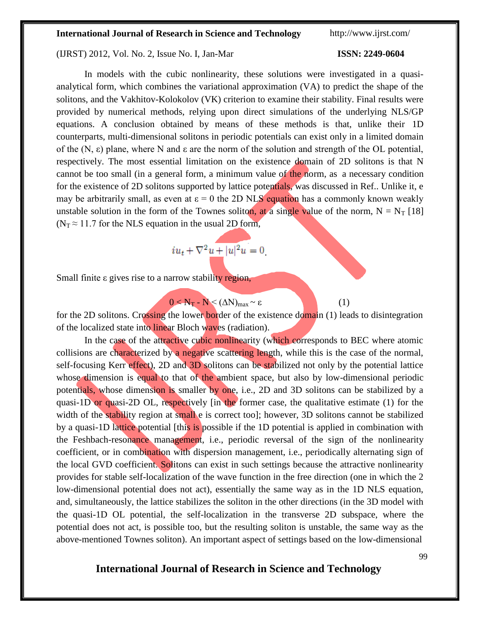### (IJRST) 2012, Vol. No. 2, Issue No. I, Jan-Mar **ISSN: 2249-0604**

## In models with the cubic nonlinearity, these solutions were investigated in a quasianalytical form, which combines the variational approximation (VA) to predict the shape of the solitons, and the Vakhitov-Kolokolov (VK) criterion to examine their stability. Final results were provided by numerical methods, relying upon direct simulations of the underlying NLS/GP equations. A conclusion obtained by means of these methods is that, unlike their 1D counterparts, multi-dimensional solitons in periodic potentials can exist only in a limited domain of the  $(N, \varepsilon)$  plane, where N and  $\varepsilon$  are the norm of the solution and strength of the OL potential, respectively. The most essential limitation on the existence domain of 2D solitons is that N cannot be too small (in a general form, a minimum value of the norm, as a necessary condition for the existence of 2D solitons supported by lattice potentials, was discussed in Ref.. Unlike it, e may be arbitrarily small, as even at  $\epsilon = 0$  the 2D NLS equation has a commonly known weakly unstable solution in the form of the Townes soliton, at a single value of the norm,  $N = N_T$  [18] ( $N_T \approx 11.7$  for the NLS equation in the usual 2D form,

$$
i u_t + \nabla^2 \underline{u} + |u|^2 u = 0
$$

Small finite ε gives rise to a narrow stability region,

$$
0 < N_{\text{T}} - N < (\Delta N)_{\text{max}} \sim \varepsilon \tag{1}
$$

for the 2D solitons. Crossing the lower border of the existence domain (1) leads to disintegration of the localized state into linear Bloch waves (radiation).

In the case of the attractive cubic nonlinearity (which corresponds to BEC where atomic collisions are characterized by a negative scattering length, while this is the case of the normal, self-focusing Kerr effect), 2D and 3D solitons can be stabilized not only by the potential lattice whose dimension is equal to that of the ambient space, but also by low-dimensional periodic potentials, whose dimension is smaller by one, i.e., 2D and 3D solitons can be stabilized by a quasi-1D or quasi-2D OL, respectively [in the former case, the qualitative estimate (1) for the width of the stability region at small e is correct tool; however, 3D solitons cannot be stabilized by a quasi-1D lattice potential [this is possible if the 1D potential is applied in combination with the Feshbach-resonance management, i.e., periodic reversal of the sign of the nonlinearity coefficient, or in combination with dispersion management, i.e., periodically alternating sign of the local GVD coefficient. Solitons can exist in such settings because the attractive nonlinearity provides for stable self-localization of the wave function in the free direction (one in which the 2 low-dimensional potential does not act), essentially the same way as in the 1D NLS equation, and, simultaneously, the lattice stabilizes the soliton in the other directions (in the 3D model with the quasi-1D OL potential, the self-localization in the transverse 2D subspace, where the potential does not act, is possible too, but the resulting soliton is unstable, the same way as the above-mentioned Townes soliton). An important aspect of settings based on the low-dimensional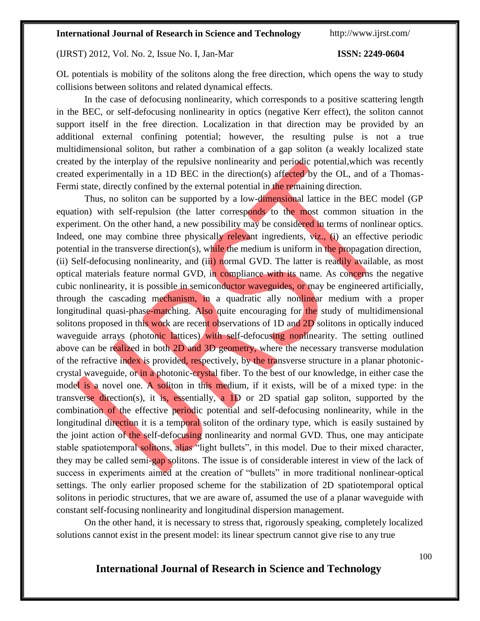### (IJRST) 2012, Vol. No. 2, Issue No. I, Jan-Mar **ISSN: 2249-0604**

OL potentials is mobility of the solitons along the free direction, which opens the way to study collisions between solitons and related dynamical effects.

In the case of defocusing nonlinearity, which corresponds to a positive scattering length in the BEC, or self-defocusing nonlinearity in optics (negative Kerr effect), the soliton cannot support itself in the free direction. Localization in that direction may be provided by an additional external confining potential; however, the resulting pulse is not a true multidimensional soliton, but rather a combination of a gap soliton (a weakly localized state created by the interplay of the repulsive nonlinearity and periodic potential,which was recently created experimentally in a 1D BEC in the direction(s) affected by the OL, and of a Thomas-Fermi state, directly confined by the external potential in the remaining direction.

Thus, no soliton can be supported by a low-dimensional lattice in the BEC model (GP equation) with self-repulsion (the latter corresponds to the most common situation in the experiment. On the other hand, a new possibility may be considered in terms of nonlinear optics. Indeed, one may combine three physically relevant ingredients, viz., (i) an effective periodic potential in the transverse direction(s), while the medium is uniform in the propagation direction, (ii) Self-defocusing nonlinearity, and (iii) normal GVD. The latter is readily available, as most optical materials feature normal GVD, in compliance with its name. As concerns the negative cubic nonlinearity, it is possible in semiconductor waveguides, or may be engineered artificially, through the cascading mechanism, in a quadratic ally nonlinear medium with a proper longitudinal quasi-phase-matching. Also quite encouraging for the study of multidimensional solitons proposed in this work are recent observations of 1D and 2D solitons in optically induced waveguide arrays (photonic lattices) with self-defocusing nonlinearity. The setting outlined above can be realized in both 2D and 3D geometry, where the necessary transverse modulation of the refractive index is provided, respectively, by the transverse structure in a planar photoniccrystal waveguide, or in a photonic-crystal fiber. To the best of our knowledge, in either case the model is a novel one. A soliton in this medium, if it exists, will be of a mixed type: in the transverse direction(s), it is, essentially, a 1D or 2D spatial gap soliton, supported by the combination of the effective periodic potential and self-defocusing nonlinearity, while in the longitudinal direction it is a temporal soliton of the ordinary type, which is easily sustained by the joint action of the self-defocusing nonlinearity and normal GVD. Thus, one may anticipate stable spatiotemporal solitons, alias "light bullets", in this model. Due to their mixed character, they may be called semi-gap solitons. The issue is of considerable interest in view of the lack of success in experiments aimed at the creation of "bullets" in more traditional nonlinear-optical settings. The only earlier proposed scheme for the stabilization of 2D spatiotemporal optical solitons in periodic structures, that we are aware of, assumed the use of a planar waveguide with constant self-focusing nonlinearity and longitudinal dispersion management.

On the other hand, it is necessary to stress that, rigorously speaking, completely localized solutions cannot exist in the present model: its linear spectrum cannot give rise to any true

## **International Journal of Research in Science and Technology**

100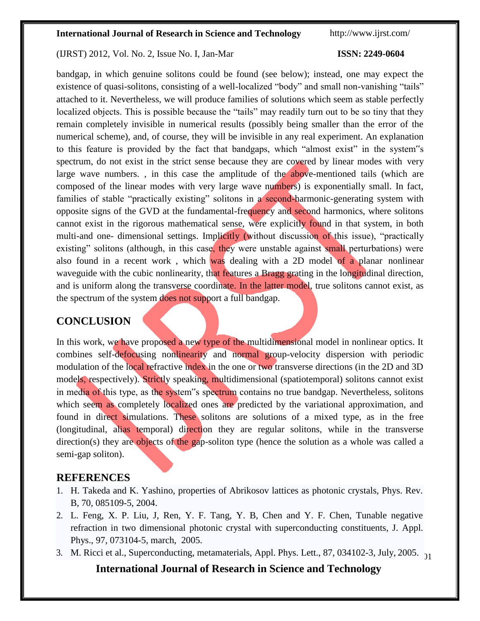### (IJRST) 2012, Vol. No. 2, Issue No. I, Jan-Mar **ISSN: 2249-0604**

bandgap, in which genuine solitons could be found (see below); instead, one may expect the existence of quasi-solitons, consisting of a well-localized "body" and small non-vanishing "tails" attached to it. Nevertheless, we will produce families of solutions which seem as stable perfectly localized objects. This is possible because the "tails" may readily turn out to be so tiny that they remain completely invisible in numerical results (possibly being smaller than the error of the numerical scheme), and, of course, they will be invisible in any real experiment. An explanation to this feature is provided by the fact that bandgaps, which "almost exist" in the system"s spectrum, do not exist in the strict sense because they are covered by linear modes with very large wave numbers., in this case the amplitude of the above-mentioned tails (which are composed of the linear modes with very large wave numbers) is exponentially small. In fact, families of stable "practically existing" solitons in a second-harmonic-generating system with opposite signs of the GVD at the fundamental-frequency and second harmonics, where solitons cannot exist in the rigorous mathematical sense, were explicitly found in that system, in both multi-and one- dimensional settings. Implicitly (without discussion of this issue), "practically existing" solitons (although, in this case, they were unstable against small perturbations) were also found in a recent work , which was dealing with a 2D model of a planar nonlinear waveguide with the cubic nonlinearity, that features a Bragg grating in the longitudinal direction, and is uniform along the transverse coordinate. In the latter model, true solitons cannot exist, as the spectrum of the system does not support a full bandgap.

## **CONCLUSION**

In this work, we have proposed a new type of the multidimensional model in nonlinear optics. It combines self-defocusing nonlinearity and normal group-velocity dispersion with periodic modulation of the local refractive index in the one or two transverse directions (in the 2D and 3D models, respectively). Strictly speaking, multidimensional (spatiotemporal) solitons cannot exist in media of this type, as the system"s spectrum contains no true bandgap. Nevertheless, solitons which seem as completely localized ones are predicted by the variational approximation, and found in direct simulations. These solitons are solutions of a mixed type, as in the free (longitudinal, alias temporal) direction they are regular solitons, while in the transverse direction(s) they are objects of the gap-soliton type (hence the solution as a whole was called a semi-gap soliton).

## **REFERENCES**

- 1. H. Takeda and K. Yashino, properties of Abrikosov lattices as photonic crystals, Phys. Rev. B, 70, 085109-5, 2004.
- 2. L. Feng, X. P. Liu, J, Ren, Y. F. Tang, Y. B, Chen and Y. F. Chen, Tunable negative refraction in two dimensional photonic crystal with superconducting constituents, J. Appl. Phys., 97, 073104-5, march, 2005.
- 3. M. Ricci et al., Superconducting, metamaterials, Appl. Phys. Lett., 87, 034102-3, July, 2005. <sub>21</sub>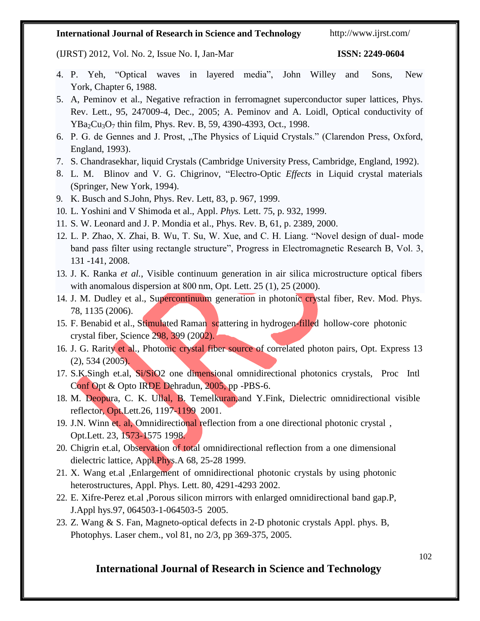(IJRST) 2012, Vol. No. 2, Issue No. I, Jan-Mar **ISSN: 2249-0604**

- 4. P. Yeh, "Optical waves in layered media", John Willey and Sons, New York, Chapter 6, 1988.
- 5. A, Peminov et al., Negative refraction in ferromagnet superconductor super lattices, Phys. Rev. Lett., 95, 247009-4, Dec., 2005; A. Peminov and A. Loidl, Optical conductivity of  $YBa<sub>2</sub>Cu<sub>3</sub>O<sub>7</sub>$  thin film, Phys. Rev. B, 59, 4390-4393, Oct., 1998.
- 6. P. G. de Gennes and J. Prost, "The Physics of Liquid Crystals." (Clarendon Press, Oxford, England, 1993).
- 7. S. Chandrasekhar, liquid Crystals (Cambridge University Press, Cambridge, England, 1992).
- 8. L. M. Blinov and V. G. Chigrinov, "Electro-Optic *Effects* in Liquid crystal materials (Springer, New York, 1994).
- 9. K. Busch and S.John, Phys. Rev. Lett, 83, p. 967, 1999.
- 10. L. Yoshini and V Shimoda et al., Appl. *Phys.* Lett. 75, p. 932, 1999.
- 11. S. W. Leonard and J. P. Mondia et al., Phys. Rev. B, 61, p. 2389, 2000.
- 12. L. P. Zhao, X. Zhai, B. Wu, T. Su, W. Xue, and C. H. Liang. "Novel design of dual- mode band pass filter using rectangle structure", Progress in Electromagnetic Research B, Vol. 3, 131 -141, 2008.
- 13. J. K. Ranka *et al.*, Visible continuum generation in air silica microstructure optical fibers with anomalous dispersion at 800 nm, Opt. Lett. 25 (1), 25 (2000).
- 14. J. M. Dudley et al., Supercontinuum generation in photonic crystal fiber, Rev. Mod. Phys. 78, 1135 (2006).
- 15. F. Benabid et al., Stimulated Raman scattering in hydrogen-filled hollow-core photonic crystal fiber, Science 298, 399 (2002).
- 16. J. G. Rarity et al., Photonic crystal fiber source of correlated photon pairs, Opt. Express 13 (2), 534 (2005).
- 17. S.K.Singh et.al, Si/SiO2 one dimensional omnidirectional photonics crystals, Proc Intl Conf Opt & Opto IRDE Dehradun, 2005, pp -PBS-6.
- 18. M. Deopura, C. K. Ullal, B. Temelkuran,and Y.Fink, Dielectric omnidirectional visible refl*e*ctor, Opt.Lett.26, 1197-1199 2001.
- 19. J.N. Winn et. al, Omnidirectional reflection from a one directional photonic crystal , Opt.Lett. 23, 1573-1575 1998.
- 20. Chigrin et.al, Observation of total omnidirectional reflection from a one dimensional dielectric lattice, Appl.Phys.A 68, 25-28 1999.
- 21. X. Wang et.al ,Enlargement of omnidirectional photonic crystals by using photonic heterostructures, Appl. Phys. Lett. 80, 4291-4293 2002.
- 22. E. Xifre-Perez et.al ,Porous silicon mirrors with enlarged omnidirectional band gap.P, J.Appl hys.97, 064503-1-064503-5 2005.
- 23. Z. Wang & S. Fan, Magneto-optical defects in 2-D photonic crystals Appl. phys. B, Photophys. Laser chem., vol 81, no 2/3, pp 369-375, 2005.

## **International Journal of Research in Science and Technology**

102